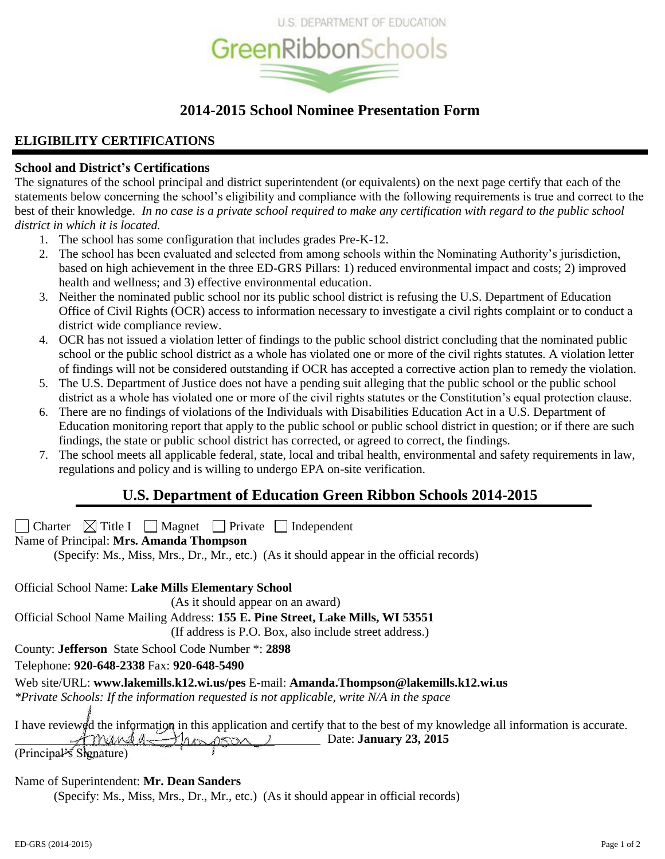

# **2014-2015 School Nominee Presentation Form**

# **ELIGIBILITY CERTIFICATIONS**

## **School and District's Certifications**

The signatures of the school principal and district superintendent (or equivalents) on the next page certify that each of the statements below concerning the school's eligibility and compliance with the following requirements is true and correct to the best of their knowledge. *In no case is a private school required to make any certification with regard to the public school district in which it is located.*

- 1. The school has some configuration that includes grades Pre-K-12.
- 2. The school has been evaluated and selected from among schools within the Nominating Authority's jurisdiction, based on high achievement in the three ED-GRS Pillars: 1) reduced environmental impact and costs; 2) improved health and wellness; and 3) effective environmental education.
- 3. Neither the nominated public school nor its public school district is refusing the U.S. Department of Education Office of Civil Rights (OCR) access to information necessary to investigate a civil rights complaint or to conduct a district wide compliance review.
- 4. OCR has not issued a violation letter of findings to the public school district concluding that the nominated public school or the public school district as a whole has violated one or more of the civil rights statutes. A violation letter of findings will not be considered outstanding if OCR has accepted a corrective action plan to remedy the violation.
- 5. The U.S. Department of Justice does not have a pending suit alleging that the public school or the public school district as a whole has violated one or more of the civil rights statutes or the Constitution's equal protection clause.
- 6. There are no findings of violations of the Individuals with Disabilities Education Act in a U.S. Department of Education monitoring report that apply to the public school or public school district in question; or if there are such findings, the state or public school district has corrected, or agreed to correct, the findings.
- 7. The school meets all applicable federal, state, local and tribal health, environmental and safety requirements in law, regulations and policy and is willing to undergo EPA on-site verification.

# **U.S. Department of Education Green Ribbon Schools 2014-2015**

| $\boxtimes$ Title I $\Box$ Magnet $\Box$ Private $\Box$ Independent<br>Charter<br>Name of Principal: Mrs. Amanda Thompson<br>(Specify: Ms., Miss, Mrs., Dr., Mr., etc.) (As it should appear in the official records) |
|-----------------------------------------------------------------------------------------------------------------------------------------------------------------------------------------------------------------------|
| <b>Official School Name: Lake Mills Elementary School</b>                                                                                                                                                             |
| (As it should appear on an award)                                                                                                                                                                                     |
| Official School Name Mailing Address: 155 E. Pine Street, Lake Mills, WI 53551                                                                                                                                        |
| (If address is P.O. Box, also include street address.)                                                                                                                                                                |
| County: <b>Jefferson</b> State School Code Number *: 2898                                                                                                                                                             |
| Telephone: 920-648-2338 Fax: 920-648-5490                                                                                                                                                                             |
| Web site/URL: www.lakemills.k12.wi.us/pes E-mail: Amanda.Thompson@lakemills.k12.wi.us                                                                                                                                 |
| *Private Schools: If the information requested is not applicable, write $N/A$ in the space                                                                                                                            |
|                                                                                                                                                                                                                       |
| I have reviewed the information in this application and certify that to the best of my knowledge all information is accurate.                                                                                         |
| Date: January 23, 2015<br>manag - thompson 1                                                                                                                                                                          |
| (Principal's Signature)                                                                                                                                                                                               |
|                                                                                                                                                                                                                       |
| Name of Superintendent: Mr. Dean Sanders                                                                                                                                                                              |

(Specify: Ms., Miss, Mrs., Dr., Mr., etc.) (As it should appear in official records)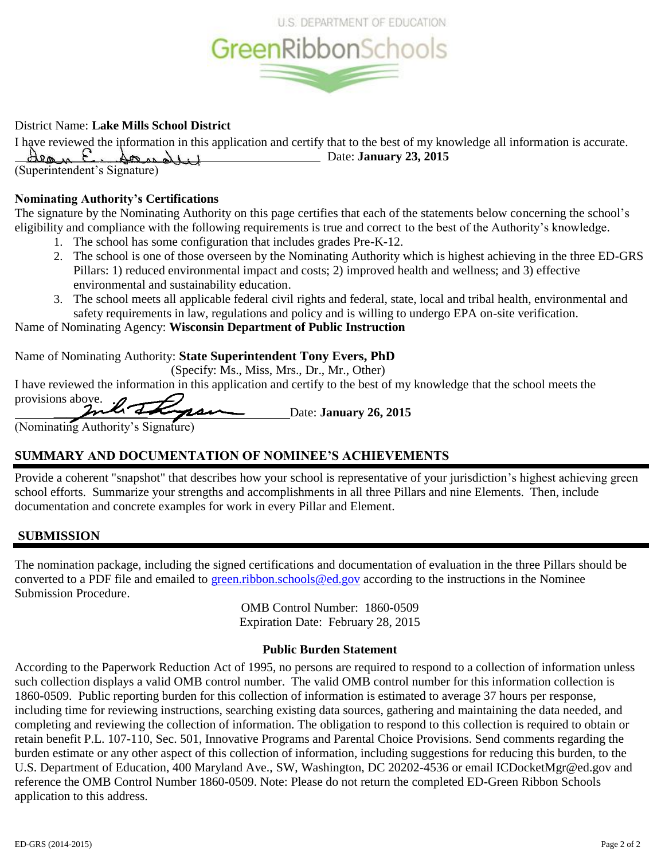

## District Name: **Lake Mills School District**

I have reviewed the information in this application and certify that to the best of my knowledge all information is accurate. <u>Date: January 23, 2015</u> (Superintendent's Signature)

## **Nominating Authority's Certifications**

The signature by the Nominating Authority on this page certifies that each of the statements below concerning the school's eligibility and compliance with the following requirements is true and correct to the best of the Authority's knowledge.

- 1. The school has some configuration that includes grades Pre-K-12.
- 2. The school is one of those overseen by the Nominating Authority which is highest achieving in the three ED-GRS Pillars: 1) reduced environmental impact and costs; 2) improved health and wellness; and 3) effective environmental and sustainability education.
- 3. The school meets all applicable federal civil rights and federal, state, local and tribal health, environmental and safety requirements in law, regulations and policy and is willing to undergo EPA on-site verification.

## Name of Nominating Agency: **Wisconsin Department of Public Instruction**

## Name of Nominating Authority: **State Superintendent Tony Evers, PhD**

(Specify: Ms., Miss, Mrs., Dr., Mr., Other)

I have reviewed the information in this application and certify to the best of my knowledge that the school meets the provisions above.

\_\_\_\_\_\_\_\_\_\_\_\_\_\_\_ Date: **January 26, 2015**

## (Nominating Authority's Signature)

## **SUMMARY AND DOCUMENTATION OF NOMINEE'S ACHIEVEMENTS**

Provide a coherent "snapshot" that describes how your school is representative of your jurisdiction's highest achieving green school efforts. Summarize your strengths and accomplishments in all three Pillars and nine Elements. Then, include documentation and concrete examples for work in every Pillar and Element.

## **SUBMISSION**

The nomination package, including the signed certifications and documentation of evaluation in the three Pillars should be converted to a PDF file and emailed to [green.ribbon.schools@ed.gov](mailto:green.ribbon.schools@ed.gov) according to the instructions in the Nominee Submission Procedure.

> OMB Control Number: 1860-0509 Expiration Date: February 28, 2015

## **Public Burden Statement**

According to the Paperwork Reduction Act of 1995, no persons are required to respond to a collection of information unless such collection displays a valid OMB control number. The valid OMB control number for this information collection is 1860-0509. Public reporting burden for this collection of information is estimated to average 37 hours per response, including time for reviewing instructions, searching existing data sources, gathering and maintaining the data needed, and completing and reviewing the collection of information. The obligation to respond to this collection is required to obtain or retain benefit P.L. 107-110, Sec. 501, Innovative Programs and Parental Choice Provisions. Send comments regarding the burden estimate or any other aspect of this collection of information, including suggestions for reducing this burden, to the U.S. Department of Education, 400 Maryland Ave., SW, Washington, DC 20202-4536 or email ICDocketMgr@ed.gov and reference the OMB Control Number 1860-0509. Note: Please do not return the completed ED-Green Ribbon Schools application to this address.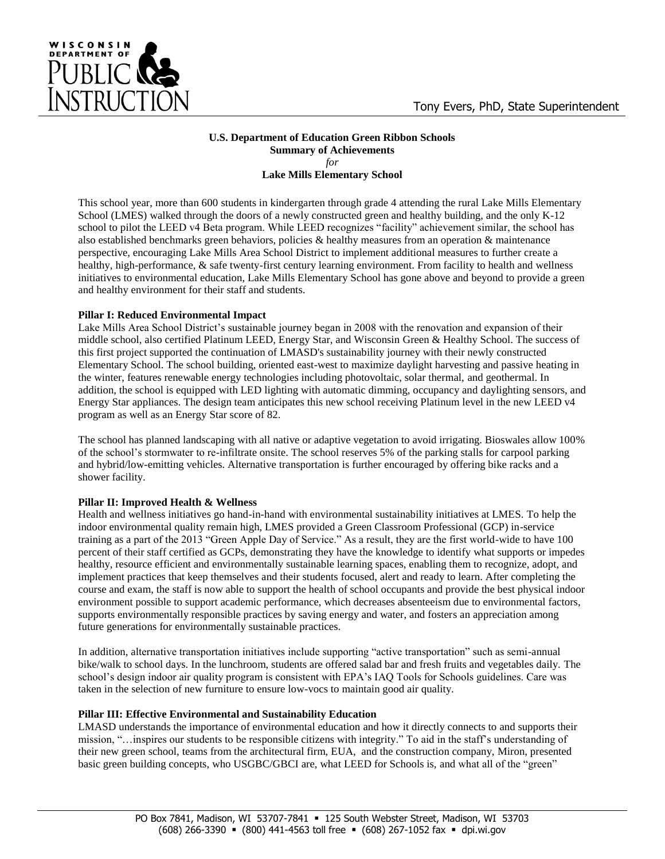

#### **U.S. Department of Education Green Ribbon Schools Summary of Achievements** *for* **Lake Mills Elementary School**

This school year, more than 600 students in kindergarten through grade 4 attending the rural Lake Mills Elementary School (LMES) walked through the doors of a newly constructed green and healthy building, and the only K-12 school to pilot the LEED v4 Beta program. While LEED recognizes "facility" achievement similar, the school has also established benchmarks green behaviors, policies & healthy measures from an operation & maintenance perspective, encouraging Lake Mills Area School District to implement additional measures to further create a healthy, high-performance, & safe twenty-first century learning environment. From facility to health and wellness initiatives to environmental education, Lake Mills Elementary School has gone above and beyond to provide a green and healthy environment for their staff and students.

## **Pillar I: Reduced Environmental Impact**

Lake Mills Area School District's sustainable journey began in 2008 with the renovation and expansion of their middle school, also certified Platinum LEED, Energy Star, and Wisconsin Green & Healthy School. The success of this first project supported the continuation of LMASD's sustainability journey with their newly constructed Elementary School. The school building, oriented east-west to maximize daylight harvesting and passive heating in the winter, features renewable energy technologies including photovoltaic, solar thermal, and geothermal. In addition, the school is equipped with LED lighting with automatic dimming, occupancy and daylighting sensors, and Energy Star appliances. The design team anticipates this new school receiving Platinum level in the new LEED v4 program as well as an Energy Star score of 82.

The school has planned landscaping with all native or adaptive vegetation to avoid irrigating. Bioswales allow 100% of the school"s stormwater to re-infiltrate onsite. The school reserves 5% of the parking stalls for carpool parking and hybrid/low-emitting vehicles. Alternative transportation is further encouraged by offering bike racks and a shower facility.

## **Pillar II: Improved Health & Wellness**

Health and wellness initiatives go hand-in-hand with environmental sustainability initiatives at LMES. To help the indoor environmental quality remain high, LMES provided a Green Classroom Professional (GCP) in-service training as a part of the 2013 "Green Apple Day of Service." As a result, they are the first world-wide to have 100 percent of their staff certified as GCPs, demonstrating they have the knowledge to identify what supports or impedes healthy, resource efficient and environmentally sustainable learning spaces, enabling them to recognize, adopt, and implement practices that keep themselves and their students focused, alert and ready to learn. After completing the course and exam, the staff is now able to support the health of school occupants and provide the best physical indoor environment possible to support academic performance, which decreases absenteeism due to environmental factors, supports environmentally responsible practices by saving energy and water, and fosters an appreciation among future generations for environmentally sustainable practices.

In addition, alternative transportation initiatives include supporting "active transportation" such as semi-annual bike/walk to school days. In the lunchroom, students are offered salad bar and fresh fruits and vegetables daily. The school's design indoor air quality program is consistent with EPA's IAQ Tools for Schools guidelines. Care was taken in the selection of new furniture to ensure low-vocs to maintain good air quality.

### **Pillar III: Effective Environmental and Sustainability Education**

LMASD understands the importance of environmental education and how it directly connects to and supports their mission, "…inspires our students to be responsible citizens with integrity." To aid in the staff"s understanding of their new green school, teams from the architectural firm, EUA, and the construction company, Miron, presented basic green building concepts, who USGBC/GBCI are, what LEED for Schools is, and what all of the "green"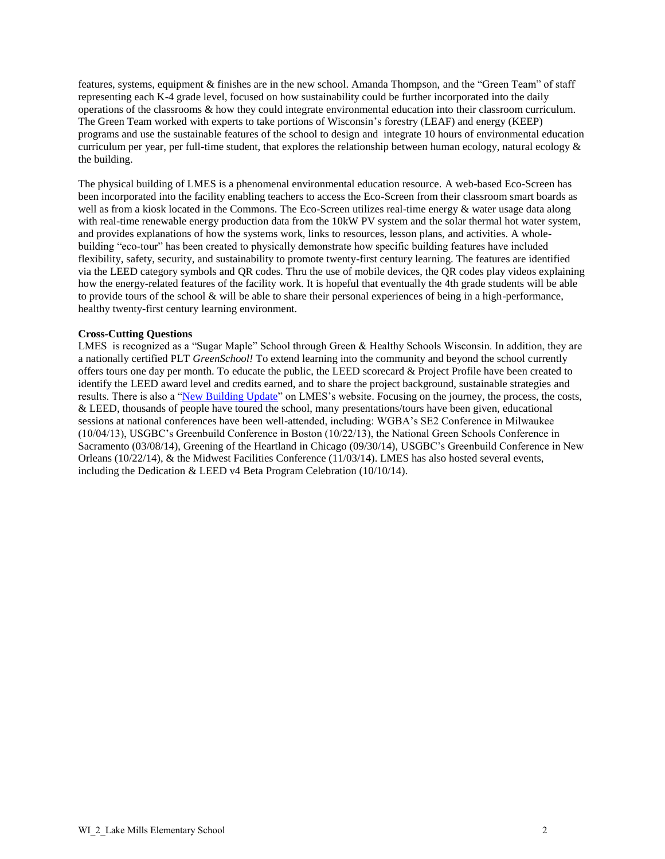features, systems, equipment & finishes are in the new school. Amanda Thompson, and the "Green Team" of staff representing each K-4 grade level, focused on how sustainability could be further incorporated into the daily operations of the classrooms & how they could integrate environmental education into their classroom curriculum. The Green Team worked with experts to take portions of Wisconsin's forestry (LEAF) and energy (KEEP) programs and use the sustainable features of the school to design and integrate 10 hours of environmental education curriculum per year, per full-time student, that explores the relationship between human ecology, natural ecology  $\&$ the building.

The physical building of LMES is a phenomenal environmental education resource. A web-based Eco-Screen has been incorporated into the facility enabling teachers to access the Eco-Screen from their classroom smart boards as well as from a kiosk located in the Commons. The Eco-Screen utilizes real-time energy & water usage data along with real-time renewable energy production data from the 10kW PV system and the solar thermal hot water system, and provides explanations of how the systems work, links to resources, lesson plans, and activities. A wholebuilding "eco-tour" has been created to physically demonstrate how specific building features have included flexibility, safety, security, and sustainability to promote twenty-first century learning. The features are identified via the LEED category symbols and QR codes. Thru the use of mobile devices, the QR codes play videos explaining how the energy-related features of the facility work. It is hopeful that eventually the 4th grade students will be able to provide tours of the school  $&$  will be able to share their personal experiences of being in a high-performance, healthy twenty-first century learning environment.

#### **Cross-Cutting Questions**

LMES is recognized as a "Sugar Maple" School through Green & Healthy Schools Wisconsin. In addition, they are a nationally certified PLT *GreenSchool!* To extend learning into the community and beyond the school currently offers tours one day per month. To educate the public, the LEED scorecard & Project Profile have been created to identify the LEED award level and credits earned, and to share the project background, sustainable strategies and results. There is also a ["New Building Update"](http://www.lakemills.k12.wi.us/pes/new_building_update.cfm) on LMES's website. Focusing on the journey, the process, the costs, & LEED, thousands of people have toured the school, many presentations/tours have been given, educational sessions at national conferences have been well-attended, including: WGBA"s SE2 Conference in Milwaukee (10/04/13), USGBC"s Greenbuild Conference in Boston (10/22/13), the National Green Schools Conference in Sacramento (03/08/14), Greening of the Heartland in Chicago (09/30/14), USGBC"s Greenbuild Conference in New Orleans (10/22/14), & the Midwest Facilities Conference (11/03/14). LMES has also hosted several events, including the Dedication & LEED v4 Beta Program Celebration (10/10/14).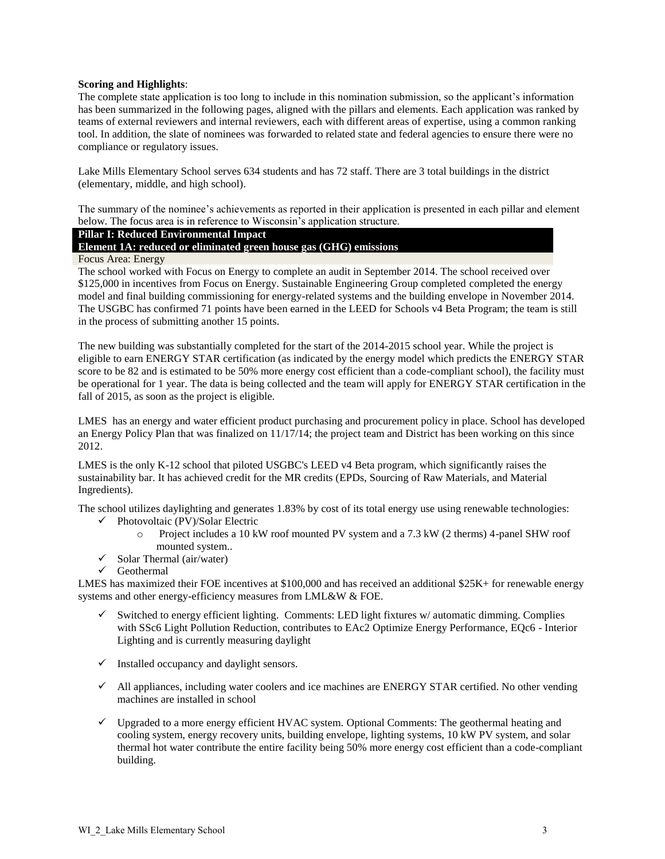#### **Scoring and Highlights**:

The complete state application is too long to include in this nomination submission, so the applicant's information has been summarized in the following pages, aligned with the pillars and elements. Each application was ranked by teams of external reviewers and internal reviewers, each with different areas of expertise, using a common ranking tool. In addition, the slate of nominees was forwarded to related state and federal agencies to ensure there were no compliance or regulatory issues.

Lake Mills Elementary School serves 634 students and has 72 staff. There are 3 total buildings in the district (elementary, middle, and high school).

The summary of the nominee's achievements as reported in their application is presented in each pillar and element below. The focus area is in reference to Wisconsin's application structure.

### **Pillar I: Reduced Environmental Impact**

**Element 1A: reduced or eliminated green house gas (GHG) emissions** 

#### Focus Area: Energy

The school worked with Focus on Energy to complete an audit in September 2014. The school received over \$125,000 in incentives from Focus on Energy. Sustainable Engineering Group completed completed the energy model and final building commissioning for energy-related systems and the building envelope in November 2014. The USGBC has confirmed 71 points have been earned in the LEED for Schools v4 Beta Program; the team is still in the process of submitting another 15 points.

The new building was substantially completed for the start of the 2014-2015 school year. While the project is eligible to earn ENERGY STAR certification (as indicated by the energy model which predicts the ENERGY STAR score to be 82 and is estimated to be 50% more energy cost efficient than a code-compliant school), the facility must be operational for 1 year. The data is being collected and the team will apply for ENERGY STAR certification in the fall of 2015, as soon as the project is eligible.

LMES has an energy and water efficient product purchasing and procurement policy in place. School has developed an Energy Policy Plan that was finalized on 11/17/14; the project team and District has been working on this since 2012.

LMES is the only K-12 school that piloted USGBC's LEED v4 Beta program, which significantly raises the sustainability bar. It has achieved credit for the MR credits (EPDs, Sourcing of Raw Materials, and Material Ingredients).

The school utilizes daylighting and generates 1.83% by cost of its total energy use using renewable technologies:

- $\checkmark$  Photovoltaic (PV)/Solar Electric
	- o Project includes a 10 kW roof mounted PV system and a 7.3 kW (2 therms) 4-panel SHW roof mounted system..
- $\checkmark$  Solar Thermal (air/water)
- $\checkmark$  Geothermal

LMES has maximized their FOE incentives at \$100,000 and has received an additional \$25K+ for renewable energy systems and other energy-efficiency measures from LML&W & FOE.

- $\checkmark$  Switched to energy efficient lighting. Comments: LED light fixtures w/ automatic dimming. Complies with SSc6 Light Pollution Reduction, contributes to EAc2 Optimize Energy Performance, EQc6 - Interior Lighting and is currently measuring daylight
- $\checkmark$  Installed occupancy and daylight sensors.
- $\checkmark$  All appliances, including water coolers and ice machines are ENERGY STAR certified. No other vending machines are installed in school
- $\checkmark$  Upgraded to a more energy efficient HVAC system. Optional Comments: The geothermal heating and cooling system, energy recovery units, building envelope, lighting systems, 10 kW PV system, and solar thermal hot water contribute the entire facility being 50% more energy cost efficient than a code-compliant building.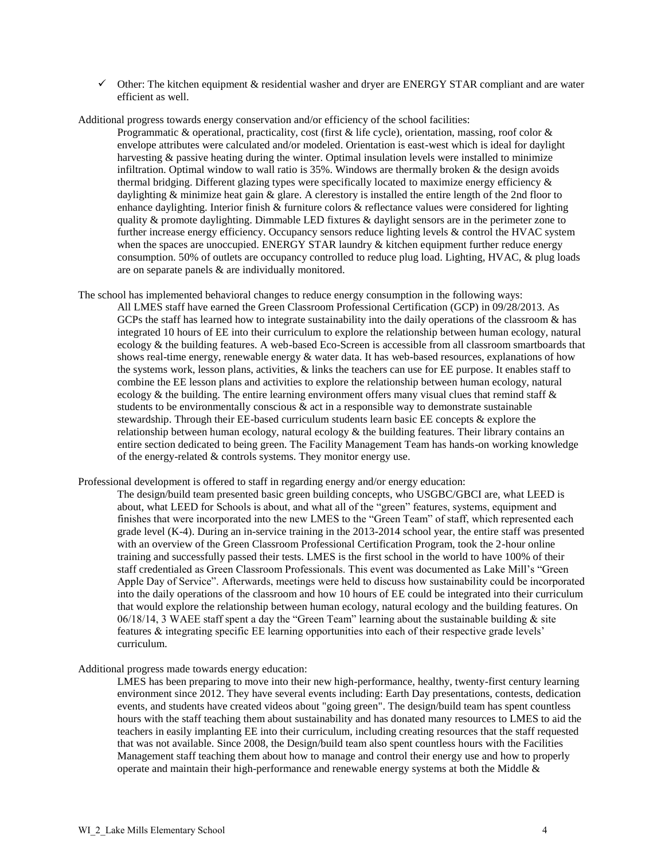$\checkmark$  Other: The kitchen equipment  $\&$  residential washer and dryer are ENERGY STAR compliant and are water efficient as well.

Additional progress towards energy conservation and/or efficiency of the school facilities:

Programmatic & operational, practicality, cost (first & life cycle), orientation, massing, roof color  $\&$ envelope attributes were calculated and/or modeled. Orientation is east-west which is ideal for daylight harvesting & passive heating during the winter. Optimal insulation levels were installed to minimize infiltration. Optimal window to wall ratio is  $35\%$ . Windows are thermally broken & the design avoids thermal bridging. Different glazing types were specifically located to maximize energy efficiency & daylighting  $\&$  minimize heat gain  $\&$  glare. A clerestory is installed the entire length of the 2nd floor to enhance daylighting. Interior finish & furniture colors & reflectance values were considered for lighting quality  $\&$  promote daylighting. Dimmable LED fixtures  $\&$  daylight sensors are in the perimeter zone to further increase energy efficiency. Occupancy sensors reduce lighting levels & control the HVAC system when the spaces are unoccupied. ENERGY STAR laundry & kitchen equipment further reduce energy consumption. 50% of outlets are occupancy controlled to reduce plug load. Lighting, HVAC, & plug loads are on separate panels & are individually monitored.

The school has implemented behavioral changes to reduce energy consumption in the following ways: All LMES staff have earned the Green Classroom Professional Certification (GCP) in 09/28/2013. As GCPs the staff has learned how to integrate sustainability into the daily operations of the classroom & has integrated 10 hours of EE into their curriculum to explore the relationship between human ecology, natural ecology & the building features. A web-based Eco-Screen is accessible from all classroom smartboards that shows real-time energy, renewable energy & water data. It has web-based resources, explanations of how the systems work, lesson plans, activities, & links the teachers can use for EE purpose. It enables staff to combine the EE lesson plans and activities to explore the relationship between human ecology, natural ecology & the building. The entire learning environment offers many visual clues that remind staff  $\&$ students to be environmentally conscious & act in a responsible way to demonstrate sustainable stewardship. Through their EE-based curriculum students learn basic EE concepts & explore the relationship between human ecology, natural ecology & the building features. Their library contains an entire section dedicated to being green. The Facility Management Team has hands-on working knowledge of the energy-related & controls systems. They monitor energy use.

Professional development is offered to staff in regarding energy and/or energy education:

The design/build team presented basic green building concepts, who USGBC/GBCI are, what LEED is about, what LEED for Schools is about, and what all of the "green" features, systems, equipment and finishes that were incorporated into the new LMES to the "Green Team" of staff, which represented each grade level (K-4). During an in-service training in the 2013-2014 school year, the entire staff was presented with an overview of the Green Classroom Professional Certification Program, took the 2-hour online training and successfully passed their tests. LMES is the first school in the world to have 100% of their staff credentialed as Green Classroom Professionals. This event was documented as Lake Mill"s "Green Apple Day of Service". Afterwards, meetings were held to discuss how sustainability could be incorporated into the daily operations of the classroom and how 10 hours of EE could be integrated into their curriculum that would explore the relationship between human ecology, natural ecology and the building features. On 06/18/14, 3 WAEE staff spent a day the "Green Team" learning about the sustainable building & site features & integrating specific EE learning opportunities into each of their respective grade levels" curriculum.

#### Additional progress made towards energy education:

LMES has been preparing to move into their new high-performance, healthy, twenty-first century learning environment since 2012. They have several events including: Earth Day presentations, contests, dedication events, and students have created videos about "going green". The design/build team has spent countless hours with the staff teaching them about sustainability and has donated many resources to LMES to aid the teachers in easily implanting EE into their curriculum, including creating resources that the staff requested that was not available. Since 2008, the Design/build team also spent countless hours with the Facilities Management staff teaching them about how to manage and control their energy use and how to properly operate and maintain their high-performance and renewable energy systems at both the Middle  $\&$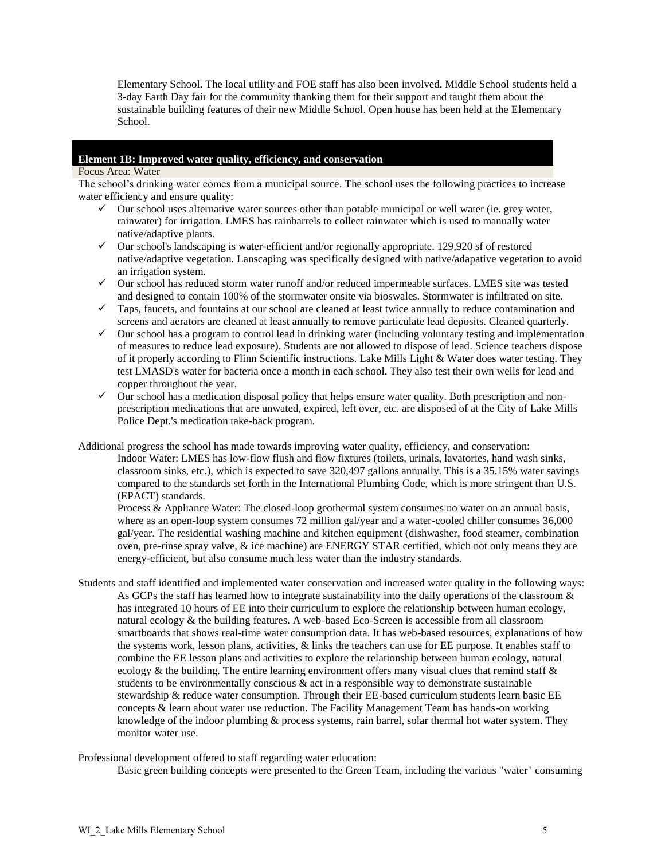Elementary School. The local utility and FOE staff has also been involved. Middle School students held a 3-day Earth Day fair for the community thanking them for their support and taught them about the sustainable building features of their new Middle School. Open house has been held at the Elementary School.

#### **Element 1B: Improved water quality, efficiency, and conservation**

### Focus Area: Water

The school"s drinking water comes from a municipal source. The school uses the following practices to increase water efficiency and ensure quality:

- $\checkmark$  Our school uses alternative water sources other than potable municipal or well water (ie. grey water, rainwater) for irrigation. LMES has rainbarrels to collect rainwater which is used to manually water native/adaptive plants.
- $\checkmark$  Our school's landscaping is water-efficient and/or regionally appropriate. 129,920 sf of restored native/adaptive vegetation. Lanscaping was specifically designed with native/adapative vegetation to avoid an irrigation system.
- $\checkmark$  Our school has reduced storm water runoff and/or reduced impermeable surfaces. LMES site was tested and designed to contain 100% of the stormwater onsite via bioswales. Stormwater is infiltrated on site.
- $\checkmark$  Taps, faucets, and fountains at our school are cleaned at least twice annually to reduce contamination and screens and aerators are cleaned at least annually to remove particulate lead deposits. Cleaned quarterly.
- $\checkmark$  Our school has a program to control lead in drinking water (including voluntary testing and implementation of measures to reduce lead exposure). Students are not allowed to dispose of lead. Science teachers dispose of it properly according to Flinn Scientific instructions. Lake Mills Light & Water does water testing. They test LMASD's water for bacteria once a month in each school. They also test their own wells for lead and copper throughout the year.
- $\checkmark$  Our school has a medication disposal policy that helps ensure water quality. Both prescription and nonprescription medications that are unwated, expired, left over, etc. are disposed of at the City of Lake Mills Police Dept.'s medication take-back program.

Additional progress the school has made towards improving water quality, efficiency, and conservation:

Indoor Water: LMES has low-flow flush and flow fixtures (toilets, urinals, lavatories, hand wash sinks, classroom sinks, etc.), which is expected to save 320,497 gallons annually. This is a 35.15% water savings compared to the standards set forth in the International Plumbing Code, which is more stringent than U.S. (EPACT) standards.

Process & Appliance Water: The closed-loop geothermal system consumes no water on an annual basis, where as an open-loop system consumes 72 million gal/year and a water-cooled chiller consumes 36,000 gal/year. The residential washing machine and kitchen equipment (dishwasher, food steamer, combination oven, pre-rinse spray valve, & ice machine) are ENERGY STAR certified, which not only means they are energy-efficient, but also consume much less water than the industry standards.

Students and staff identified and implemented water conservation and increased water quality in the following ways: As GCPs the staff has learned how to integrate sustainability into the daily operations of the classroom  $\&$ has integrated 10 hours of EE into their curriculum to explore the relationship between human ecology, natural ecology & the building features. A web-based Eco-Screen is accessible from all classroom smartboards that shows real-time water consumption data. It has web-based resources, explanations of how the systems work, lesson plans, activities, & links the teachers can use for EE purpose. It enables staff to combine the EE lesson plans and activities to explore the relationship between human ecology, natural ecology & the building. The entire learning environment offers many visual clues that remind staff  $\&$ students to be environmentally conscious  $\&$  act in a responsible way to demonstrate sustainable stewardship & reduce water consumption. Through their EE-based curriculum students learn basic EE concepts & learn about water use reduction. The Facility Management Team has hands-on working knowledge of the indoor plumbing & process systems, rain barrel, solar thermal hot water system. They monitor water use.

Professional development offered to staff regarding water education:

Basic green building concepts were presented to the Green Team, including the various "water" consuming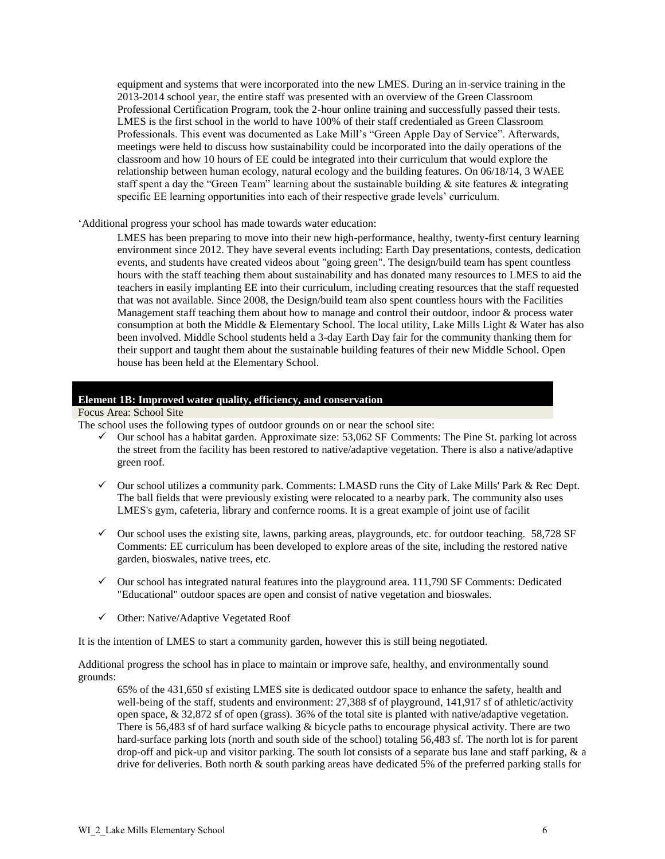equipment and systems that were incorporated into the new LMES. During an in-service training in the 2013-2014 school year, the entire staff was presented with an overview of the Green Classroom Professional Certification Program, took the 2-hour online training and successfully passed their tests. LMES is the first school in the world to have 100% of their staff credentialed as Green Classroom Professionals. This event was documented as Lake Mill"s "Green Apple Day of Service". Afterwards, meetings were held to discuss how sustainability could be incorporated into the daily operations of the classroom and how 10 hours of EE could be integrated into their curriculum that would explore the relationship between human ecology, natural ecology and the building features. On 06/18/14, 3 WAEE staff spent a day the "Green Team" learning about the sustainable building  $\&$  site features  $\&$  integrating specific EE learning opportunities into each of their respective grade levels' curriculum.

"Additional progress your school has made towards water education:

LMES has been preparing to move into their new high-performance, healthy, twenty-first century learning environment since 2012. They have several events including: Earth Day presentations, contests, dedication events, and students have created videos about "going green". The design/build team has spent countless hours with the staff teaching them about sustainability and has donated many resources to LMES to aid the teachers in easily implanting EE into their curriculum, including creating resources that the staff requested that was not available. Since 2008, the Design/build team also spent countless hours with the Facilities Management staff teaching them about how to manage and control their outdoor, indoor & process water consumption at both the Middle & Elementary School. The local utility, Lake Mills Light & Water has also been involved. Middle School students held a 3-day Earth Day fair for the community thanking them for their support and taught them about the sustainable building features of their new Middle School. Open house has been held at the Elementary School.

### **Element 1B: Improved water quality, efficiency, and conservation**

Focus Area: School Site

The school uses the following types of outdoor grounds on or near the school site:

- $\checkmark$  Our school has a habitat garden. Approximate size: 53,062 SF Comments: The Pine St. parking lot across the street from the facility has been restored to native/adaptive vegetation. There is also a native/adaptive green roof.
- $\checkmark$  Our school utilizes a community park. Comments: LMASD runs the City of Lake Mills' Park & Rec Dept. The ball fields that were previously existing were relocated to a nearby park. The community also uses LMES's gym, cafeteria, library and confernce rooms. It is a great example of joint use of facilit
- $\checkmark$  Our school uses the existing site, lawns, parking areas, playgrounds, etc. for outdoor teaching. 58,728 SF Comments: EE curriculum has been developed to explore areas of the site, including the restored native garden, bioswales, native trees, etc.
- $\checkmark$  Our school has integrated natural features into the playground area. 111,790 SF Comments: Dedicated "Educational" outdoor spaces are open and consist of native vegetation and bioswales.
- $\checkmark$  Other: Native/Adaptive Vegetated Roof

It is the intention of LMES to start a community garden, however this is still being negotiated.

Additional progress the school has in place to maintain or improve safe, healthy, and environmentally sound grounds:

65% of the 431,650 sf existing LMES site is dedicated outdoor space to enhance the safety, health and well-being of the staff, students and environment: 27,388 sf of playground, 141,917 sf of athletic/activity open space, & 32,872 sf of open (grass). 36% of the total site is planted with native/adaptive vegetation. There is 56,483 sf of hard surface walking & bicycle paths to encourage physical activity. There are two hard-surface parking lots (north and south side of the school) totaling 56,483 sf. The north lot is for parent drop-off and pick-up and visitor parking. The south lot consists of a separate bus lane and staff parking, & a drive for deliveries. Both north & south parking areas have dedicated 5% of the preferred parking stalls for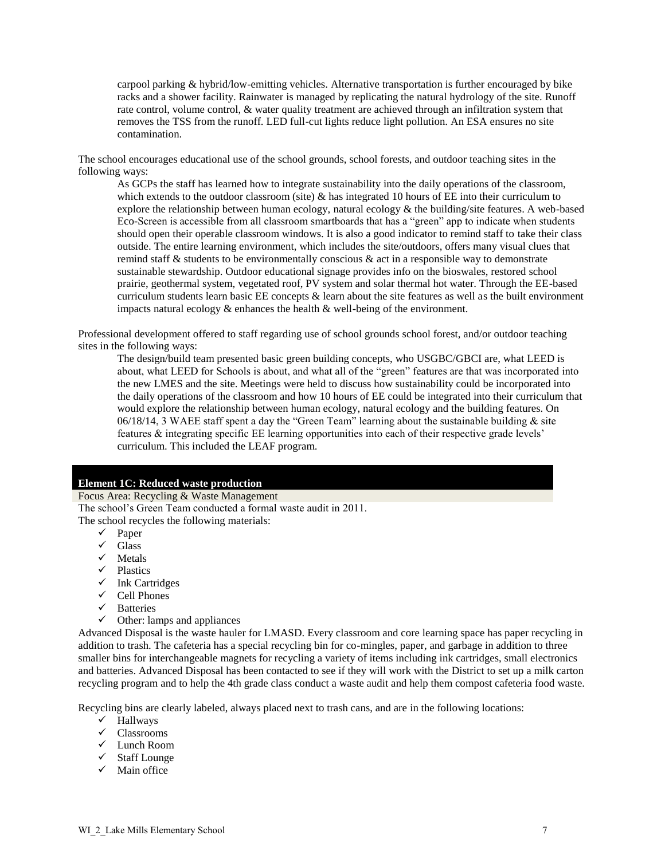carpool parking & hybrid/low-emitting vehicles. Alternative transportation is further encouraged by bike racks and a shower facility. Rainwater is managed by replicating the natural hydrology of the site. Runoff rate control, volume control, & water quality treatment are achieved through an infiltration system that removes the TSS from the runoff. LED full-cut lights reduce light pollution. An ESA ensures no site contamination.

The school encourages educational use of the school grounds, school forests, and outdoor teaching sites in the following ways:

As GCPs the staff has learned how to integrate sustainability into the daily operations of the classroom, which extends to the outdoor classroom (site) & has integrated 10 hours of EE into their curriculum to explore the relationship between human ecology, natural ecology & the building/site features. A web-based Eco-Screen is accessible from all classroom smartboards that has a "green" app to indicate when students should open their operable classroom windows. It is also a good indicator to remind staff to take their class outside. The entire learning environment, which includes the site/outdoors, offers many visual clues that remind staff  $\&$  students to be environmentally conscious  $\&$  act in a responsible way to demonstrate sustainable stewardship. Outdoor educational signage provides info on the bioswales, restored school prairie, geothermal system, vegetated roof, PV system and solar thermal hot water. Through the EE-based curriculum students learn basic EE concepts & learn about the site features as well as the built environment impacts natural ecology  $\&$  enhances the health  $\&$  well-being of the environment.

Professional development offered to staff regarding use of school grounds school forest, and/or outdoor teaching sites in the following ways:

The design/build team presented basic green building concepts, who USGBC/GBCI are, what LEED is about, what LEED for Schools is about, and what all of the "green" features are that was incorporated into the new LMES and the site. Meetings were held to discuss how sustainability could be incorporated into the daily operations of the classroom and how 10 hours of EE could be integrated into their curriculum that would explore the relationship between human ecology, natural ecology and the building features. On 06/18/14, 3 WAEE staff spent a day the "Green Team" learning about the sustainable building & site features & integrating specific EE learning opportunities into each of their respective grade levels" curriculum. This included the LEAF program.

### **Element 1C: Reduced waste production**

#### Focus Area: Recycling & Waste Management

The school"s Green Team conducted a formal waste audit in 2011. The school recycles the following materials:

- $\checkmark$  Paper
- $\checkmark$  Glass
- $\checkmark$  Metals
- $\checkmark$  Plastics
- $\checkmark$  Ink Cartridges
- $\checkmark$  Cell Phones
- $\checkmark$  Batteries
- $\checkmark$  Other: lamps and appliances

Advanced Disposal is the waste hauler for LMASD. Every classroom and core learning space has paper recycling in addition to trash. The cafeteria has a special recycling bin for co-mingles, paper, and garbage in addition to three smaller bins for interchangeable magnets for recycling a variety of items including ink cartridges, small electronics and batteries. Advanced Disposal has been contacted to see if they will work with the District to set up a milk carton recycling program and to help the 4th grade class conduct a waste audit and help them compost cafeteria food waste.

Recycling bins are clearly labeled, always placed next to trash cans, and are in the following locations:

- $\checkmark$  Hallways
- $\checkmark$  Classrooms
- Lunch Room
- $\checkmark$  Staff Lounge
- $\checkmark$  Main office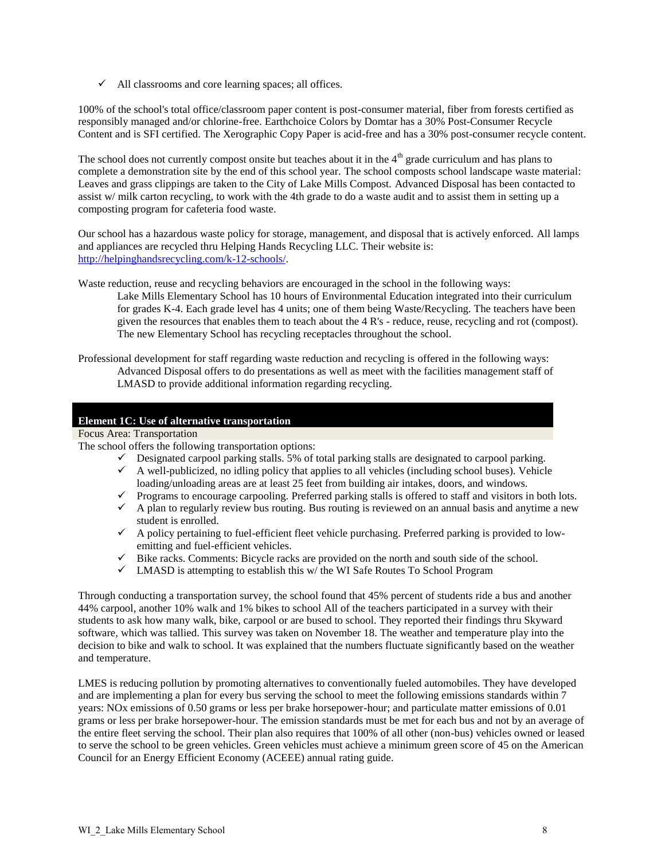$\checkmark$  All classrooms and core learning spaces; all offices.

100% of the school's total office/classroom paper content is post-consumer material, fiber from forests certified as responsibly managed and/or chlorine-free. Earthchoice Colors by Domtar has a 30% Post-Consumer Recycle Content and is SFI certified. The Xerographic Copy Paper is acid-free and has a 30% post-consumer recycle content.

The school does not currently compost onsite but teaches about it in the  $4<sup>th</sup>$  grade curriculum and has plans to complete a demonstration site by the end of this school year. The school composts school landscape waste material: Leaves and grass clippings are taken to the City of Lake Mills Compost. Advanced Disposal has been contacted to assist w/ milk carton recycling, to work with the 4th grade to do a waste audit and to assist them in setting up a composting program for cafeteria food waste.

Our school has a hazardous waste policy for storage, management, and disposal that is actively enforced. All lamps and appliances are recycled thru Helping Hands Recycling LLC. Their website is: [http://helpinghandsrecycling.com/k-12-schools/.](http://helpinghandsrecycling.com/k-12-schools/)

Waste reduction, reuse and recycling behaviors are encouraged in the school in the following ways:

Lake Mills Elementary School has 10 hours of Environmental Education integrated into their curriculum for grades K-4. Each grade level has 4 units; one of them being Waste/Recycling. The teachers have been given the resources that enables them to teach about the 4 R's - reduce, reuse, recycling and rot (compost). The new Elementary School has recycling receptacles throughout the school.

Professional development for staff regarding waste reduction and recycling is offered in the following ways: Advanced Disposal offers to do presentations as well as meet with the facilities management staff of LMASD to provide additional information regarding recycling.

### **Element 1C: Use of alternative transportation**

Focus Area: Transportation

The school offers the following transportation options:

- $\checkmark$  Designated carpool parking stalls. 5% of total parking stalls are designated to carpool parking.
- $\checkmark$  A well-publicized, no idling policy that applies to all vehicles (including school buses). Vehicle loading/unloading areas are at least 25 feet from building air intakes, doors, and windows.
- $\checkmark$  Programs to encourage carpooling. Preferred parking stalls is offered to staff and visitors in both lots.  $\checkmark$  A plan to regularly review bus routing. Bus routing is reviewed on an annual basis and anytime a new student is enrolled.
- A policy pertaining to fuel-efficient fleet vehicle purchasing. Preferred parking is provided to lowemitting and fuel-efficient vehicles.
- $\checkmark$  Bike racks. Comments: Bicycle racks are provided on the north and south side of the school.
- $\checkmark$  LMASD is attempting to establish this w/the WI Safe Routes To School Program

Through conducting a transportation survey, the school found that 45% percent of students ride a bus and another 44% carpool, another 10% walk and 1% bikes to school All of the teachers participated in a survey with their students to ask how many walk, bike, carpool or are bused to school. They reported their findings thru Skyward software, which was tallied. This survey was taken on November 18. The weather and temperature play into the decision to bike and walk to school. It was explained that the numbers fluctuate significantly based on the weather and temperature.

LMES is reducing pollution by promoting alternatives to conventionally fueled automobiles. They have developed and are implementing a plan for every bus serving the school to meet the following emissions standards within 7 years: NOx emissions of 0.50 grams or less per brake horsepower-hour; and particulate matter emissions of 0.01 grams or less per brake horsepower-hour. The emission standards must be met for each bus and not by an average of the entire fleet serving the school. Their plan also requires that 100% of all other (non-bus) vehicles owned or leased to serve the school to be green vehicles. Green vehicles must achieve a minimum green score of 45 on the American Council for an Energy Efficient Economy (ACEEE) annual rating guide.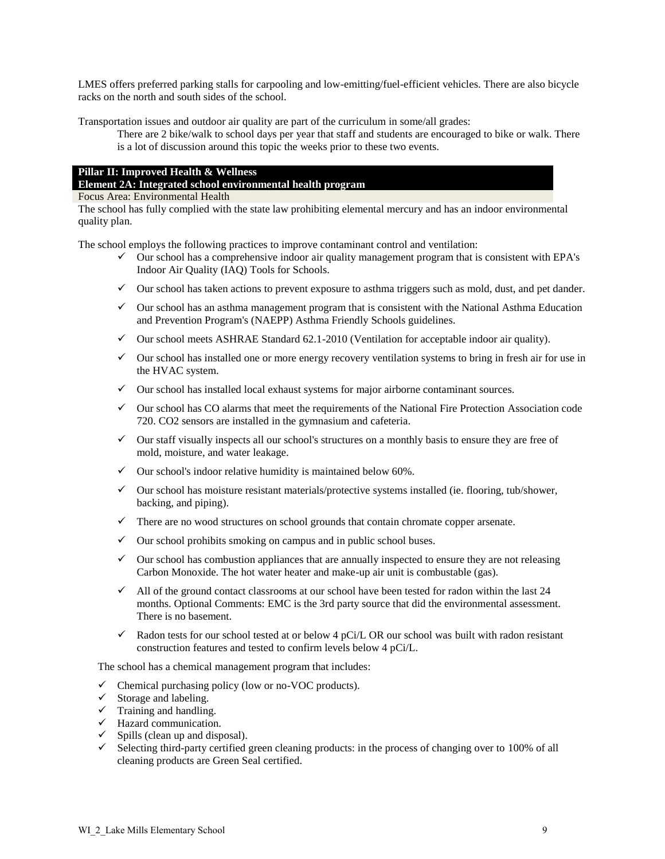LMES offers preferred parking stalls for carpooling and low-emitting/fuel-efficient vehicles. There are also bicycle racks on the north and south sides of the school.

Transportation issues and outdoor air quality are part of the curriculum in some/all grades:

There are 2 bike/walk to school days per year that staff and students are encouraged to bike or walk. There is a lot of discussion around this topic the weeks prior to these two events.

### **Pillar II: Improved Health & Wellness**

#### **Element 2A: Integrated school environmental health program**

Focus Area: Environmental Health

The school has fully complied with the state law prohibiting elemental mercury and has an indoor environmental quality plan.

The school employs the following practices to improve contaminant control and ventilation:

- $\checkmark$  Our school has a comprehensive indoor air quality management program that is consistent with EPA's Indoor Air Quality (IAQ) Tools for Schools.
- $\checkmark$  Our school has taken actions to prevent exposure to asthma triggers such as mold, dust, and pet dander.
- $\checkmark$  Our school has an asthma management program that is consistent with the National Asthma Education and Prevention Program's (NAEPP) Asthma Friendly Schools guidelines.
- $\checkmark$  Our school meets ASHRAE Standard 62.1-2010 (Ventilation for acceptable indoor air quality).
- $\checkmark$  Our school has installed one or more energy recovery ventilation systems to bring in fresh air for use in the HVAC system.
- $\checkmark$  Our school has installed local exhaust systems for major airborne contaminant sources.
- $\checkmark$  Our school has CO alarms that meet the requirements of the National Fire Protection Association code 720. CO2 sensors are installed in the gymnasium and cafeteria.
- $\checkmark$  Our staff visually inspects all our school's structures on a monthly basis to ensure they are free of mold, moisture, and water leakage.
- $\checkmark$  Our school's indoor relative humidity is maintained below 60%.
- $\checkmark$  Our school has moisture resistant materials/protective systems installed (ie. flooring, tub/shower, backing, and piping).
- $\checkmark$  There are no wood structures on school grounds that contain chromate copper arsenate.
- $\checkmark$  Our school prohibits smoking on campus and in public school buses.
- $\checkmark$  Our school has combustion appliances that are annually inspected to ensure they are not releasing Carbon Monoxide. The hot water heater and make-up air unit is combustable (gas).
- $\checkmark$  All of the ground contact classrooms at our school have been tested for radon within the last 24 months. Optional Comments: EMC is the 3rd party source that did the environmental assessment. There is no basement.
- $\checkmark$  Radon tests for our school tested at or below 4 pCi/L OR our school was built with radon resistant construction features and tested to confirm levels below 4 pCi/L.

The school has a chemical management program that includes:

- $\checkmark$  Chemical purchasing policy (low or no-VOC products).
- $\checkmark$  Storage and labeling.
- $\checkmark$  Training and handling.
- $\checkmark$  Hazard communication.
- $\checkmark$  Spills (clean up and disposal).
- $\checkmark$  Selecting third-party certified green cleaning products: in the process of changing over to 100% of all cleaning products are Green Seal certified.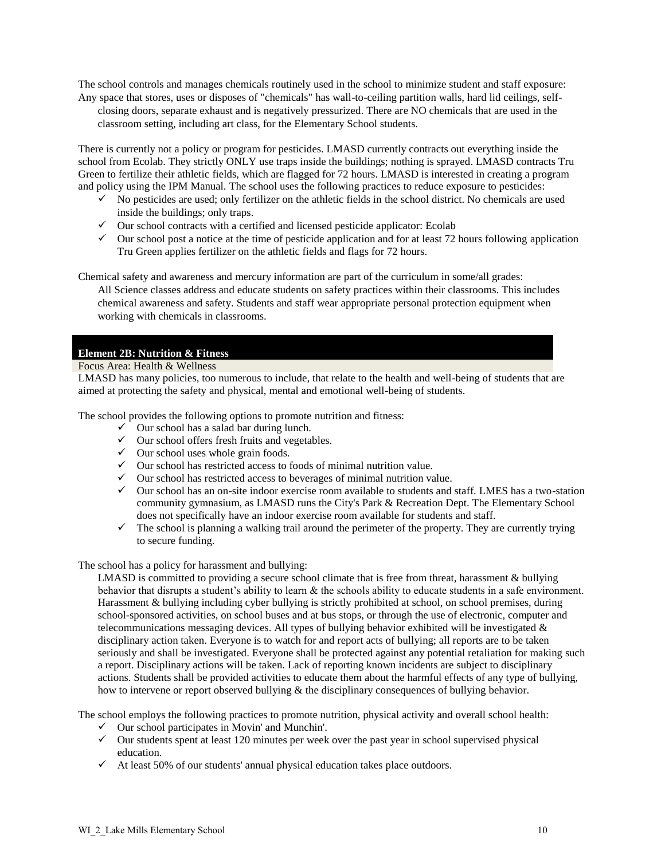The school controls and manages chemicals routinely used in the school to minimize student and staff exposure: Any space that stores, uses or disposes of "chemicals" has wall-to-ceiling partition walls, hard lid ceilings, selfclosing doors, separate exhaust and is negatively pressurized. There are NO chemicals that are used in the classroom setting, including art class, for the Elementary School students.

There is currently not a policy or program for pesticides. LMASD currently contracts out everything inside the school from Ecolab. They strictly ONLY use traps inside the buildings; nothing is sprayed. LMASD contracts Tru Green to fertilize their athletic fields, which are flagged for 72 hours. LMASD is interested in creating a program and policy using the IPM Manual. The school uses the following practices to reduce exposure to pesticides:

- $\checkmark$  No pesticides are used; only fertilizer on the athletic fields in the school district. No chemicals are used inside the buildings; only traps.
- $\checkmark$  Our school contracts with a certified and licensed pesticide applicator: Ecolab
- $\checkmark$  Our school post a notice at the time of pesticide application and for at least 72 hours following application Tru Green applies fertilizer on the athletic fields and flags for 72 hours.

Chemical safety and awareness and mercury information are part of the curriculum in some/all grades: All Science classes address and educate students on safety practices within their classrooms. This includes chemical awareness and safety. Students and staff wear appropriate personal protection equipment when working with chemicals in classrooms.

### **Element 2B: Nutrition & Fitness**

#### Focus Area: Health & Wellness

LMASD has many policies, too numerous to include, that relate to the health and well-being of students that are aimed at protecting the safety and physical, mental and emotional well-being of students.

The school provides the following options to promote nutrition and fitness:

- $\checkmark$  Our school has a salad bar during lunch.
- $\checkmark$  Our school offers fresh fruits and vegetables.
- $\checkmark$  Our school uses whole grain foods.
- $\checkmark$  Our school has restricted access to foods of minimal nutrition value.
- $\checkmark$  Our school has restricted access to beverages of minimal nutrition value.
- $\checkmark$  Our school has an on-site indoor exercise room available to students and staff. LMES has a two-station community gymnasium, as LMASD runs the City's Park & Recreation Dept. The Elementary School does not specifically have an indoor exercise room available for students and staff.
- $\checkmark$  The school is planning a walking trail around the perimeter of the property. They are currently trying to secure funding.

#### The school has a policy for harassment and bullying:

LMASD is committed to providing a secure school climate that is free from threat, harassment & bullying behavior that disrupts a student's ability to learn & the schools ability to educate students in a safe environment. Harassment & bullying including cyber bullying is strictly prohibited at school, on school premises, during school-sponsored activities, on school buses and at bus stops, or through the use of electronic, computer and telecommunications messaging devices. All types of bullying behavior exhibited will be investigated  $\&$ disciplinary action taken. Everyone is to watch for and report acts of bullying; all reports are to be taken seriously and shall be investigated. Everyone shall be protected against any potential retaliation for making such a report. Disciplinary actions will be taken. Lack of reporting known incidents are subject to disciplinary actions. Students shall be provided activities to educate them about the harmful effects of any type of bullying, how to intervene or report observed bullying & the disciplinary consequences of bullying behavior.

The school employs the following practices to promote nutrition, physical activity and overall school health:

- $\checkmark$  Our school participates in Movin' and Munchin'.
- $\checkmark$  Our students spent at least 120 minutes per week over the past year in school supervised physical education.
- $\checkmark$  At least 50% of our students' annual physical education takes place outdoors.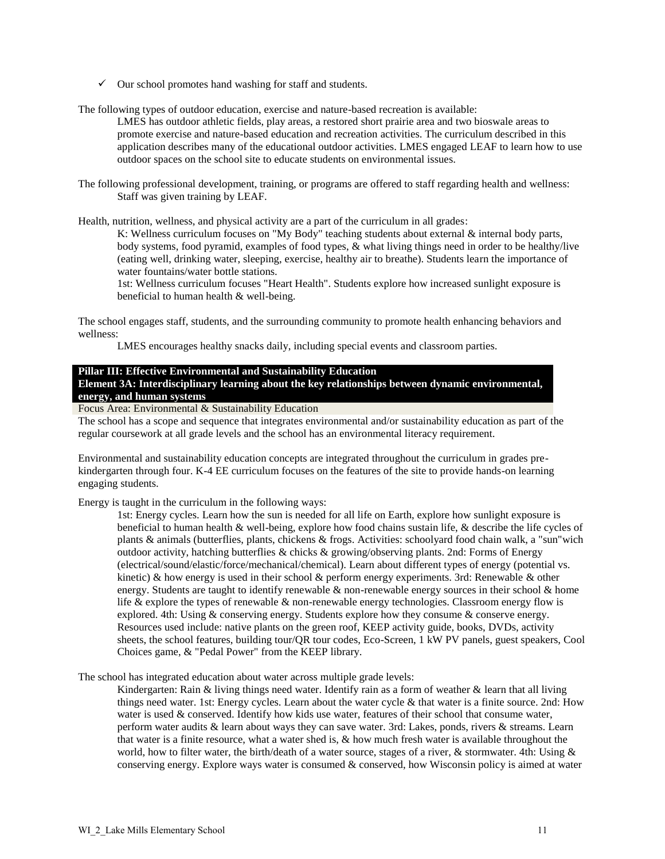$\checkmark$  Our school promotes hand washing for staff and students.

The following types of outdoor education, exercise and nature-based recreation is available:

LMES has outdoor athletic fields, play areas, a restored short prairie area and two bioswale areas to promote exercise and nature-based education and recreation activities. The curriculum described in this application describes many of the educational outdoor activities. LMES engaged LEAF to learn how to use outdoor spaces on the school site to educate students on environmental issues.

The following professional development, training, or programs are offered to staff regarding health and wellness: Staff was given training by LEAF.

Health, nutrition, wellness, and physical activity are a part of the curriculum in all grades:

K: Wellness curriculum focuses on "My Body" teaching students about external & internal body parts, body systems, food pyramid, examples of food types, & what living things need in order to be healthy/live (eating well, drinking water, sleeping, exercise, healthy air to breathe). Students learn the importance of water fountains/water bottle stations.

1st: Wellness curriculum focuses "Heart Health". Students explore how increased sunlight exposure is beneficial to human health & well-being.

The school engages staff, students, and the surrounding community to promote health enhancing behaviors and wellness:

LMES encourages healthy snacks daily, including special events and classroom parties.

#### **Pillar III: Effective Environmental and Sustainability Education**

**Element 3A: Interdisciplinary learning about the key relationships between dynamic environmental, energy, and human systems**

Focus Area: Environmental & Sustainability Education

The school has a scope and sequence that integrates environmental and/or sustainability education as part of the regular coursework at all grade levels and the school has an environmental literacy requirement.

Environmental and sustainability education concepts are integrated throughout the curriculum in grades prekindergarten through four. K-4 EE curriculum focuses on the features of the site to provide hands-on learning engaging students.

Energy is taught in the curriculum in the following ways:

1st: Energy cycles. Learn how the sun is needed for all life on Earth, explore how sunlight exposure is beneficial to human health & well-being, explore how food chains sustain life, & describe the life cycles of plants & animals (butterflies, plants, chickens & frogs. Activities: schoolyard food chain walk, a "sun"wich outdoor activity, hatching butterflies  $\&$  chicks  $\&$  growing/observing plants. 2nd: Forms of Energy (electrical/sound/elastic/force/mechanical/chemical). Learn about different types of energy (potential vs. kinetic) & how energy is used in their school & perform energy experiments. 3rd: Renewable & other energy. Students are taught to identify renewable  $\&$  non-renewable energy sources in their school  $\&$  home life & explore the types of renewable & non-renewable energy technologies. Classroom energy flow is explored. 4th: Using & conserving energy. Students explore how they consume & conserve energy. Resources used include: native plants on the green roof, KEEP activity guide, books, DVDs, activity sheets, the school features, building tour/QR tour codes, Eco-Screen, 1 kW PV panels, guest speakers, Cool Choices game, & "Pedal Power" from the KEEP library.

The school has integrated education about water across multiple grade levels:

Kindergarten: Rain & living things need water. Identify rain as a form of weather & learn that all living things need water. 1st: Energy cycles. Learn about the water cycle & that water is a finite source. 2nd: How water is used & conserved. Identify how kids use water, features of their school that consume water, perform water audits & learn about ways they can save water. 3rd: Lakes, ponds, rivers & streams. Learn that water is a finite resource, what a water shed is, & how much fresh water is available throughout the world, how to filter water, the birth/death of a water source, stages of a river,  $\&$  stormwater. 4th: Using  $\&$ conserving energy. Explore ways water is consumed & conserved, how Wisconsin policy is aimed at water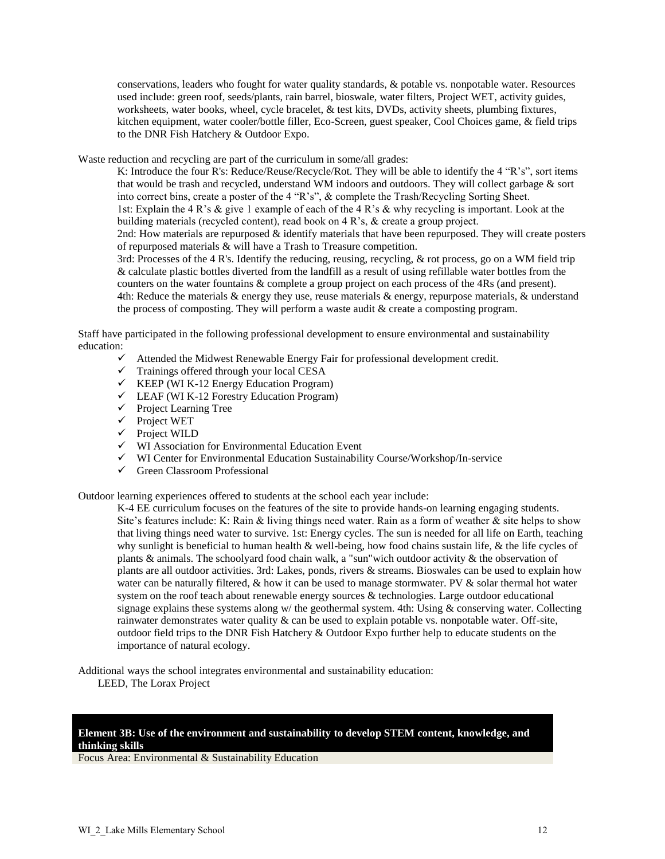conservations, leaders who fought for water quality standards, & potable vs. nonpotable water. Resources used include: green roof, seeds/plants, rain barrel, bioswale, water filters, Project WET, activity guides, worksheets, water books, wheel, cycle bracelet, & test kits, DVDs, activity sheets, plumbing fixtures, kitchen equipment, water cooler/bottle filler, Eco-Screen, guest speaker, Cool Choices game, & field trips to the DNR Fish Hatchery & Outdoor Expo.

Waste reduction and recycling are part of the curriculum in some/all grades:

K: Introduce the four R's: Reduce/Reuse/Recycle/Rot. They will be able to identify the 4 "R's", sort items that would be trash and recycled, understand WM indoors and outdoors. They will collect garbage & sort into correct bins, create a poster of the 4 "R"s", & complete the Trash/Recycling Sorting Sheet. 1st: Explain the 4 R"s & give 1 example of each of the 4 R"s & why recycling is important. Look at the building materials (recycled content), read book on 4 R"s, & create a group project.

2nd: How materials are repurposed & identify materials that have been repurposed. They will create posters of repurposed materials & will have a Trash to Treasure competition.

3rd: Processes of the 4 R's. Identify the reducing, reusing, recycling, & rot process, go on a WM field trip & calculate plastic bottles diverted from the landfill as a result of using refillable water bottles from the counters on the water fountains & complete a group project on each process of the 4Rs (and present). 4th: Reduce the materials & energy they use, reuse materials & energy, repurpose materials, & understand the process of composting. They will perform a waste audit & create a composting program.

Staff have participated in the following professional development to ensure environmental and sustainability education:

- $\checkmark$  Attended the Midwest Renewable Energy Fair for professional development credit.
- $\checkmark$  Trainings offered through your local CESA
- $\checkmark$  KEEP (WI K-12 Energy Education Program)
- $\checkmark$  LEAF (WI K-12 Forestry Education Program)
- $\checkmark$  Project Learning Tree
- $\checkmark$  Project WET
- $\checkmark$  Project WILD
- $\checkmark$  WI Association for Environmental Education Event
- WI Center for Environmental Education Sustainability Course/Workshop/In-service
- $\checkmark$  Green Classroom Professional

Outdoor learning experiences offered to students at the school each year include:

K-4 EE curriculum focuses on the features of the site to provide hands-on learning engaging students. Site's features include: K: Rain  $\&$  living things need water. Rain as a form of weather  $\&$  site helps to show that living things need water to survive. 1st: Energy cycles. The sun is needed for all life on Earth, teaching why sunlight is beneficial to human health  $\&$  well-being, how food chains sustain life,  $\&$  the life cycles of plants & animals. The schoolyard food chain walk, a "sun"wich outdoor activity & the observation of plants are all outdoor activities. 3rd: Lakes, ponds, rivers & streams. Bioswales can be used to explain how water can be naturally filtered, & how it can be used to manage stormwater. PV & solar thermal hot water system on the roof teach about renewable energy sources & technologies. Large outdoor educational signage explains these systems along w/ the geothermal system. 4th: Using & conserving water. Collecting rainwater demonstrates water quality & can be used to explain potable vs. nonpotable water. Off-site, outdoor field trips to the DNR Fish Hatchery & Outdoor Expo further help to educate students on the importance of natural ecology.

Additional ways the school integrates environmental and sustainability education: LEED, The Lorax Project

#### **Element 3B: Use of the environment and sustainability to develop STEM content, knowledge, and thinking skills**

Focus Area: Environmental & Sustainability Education